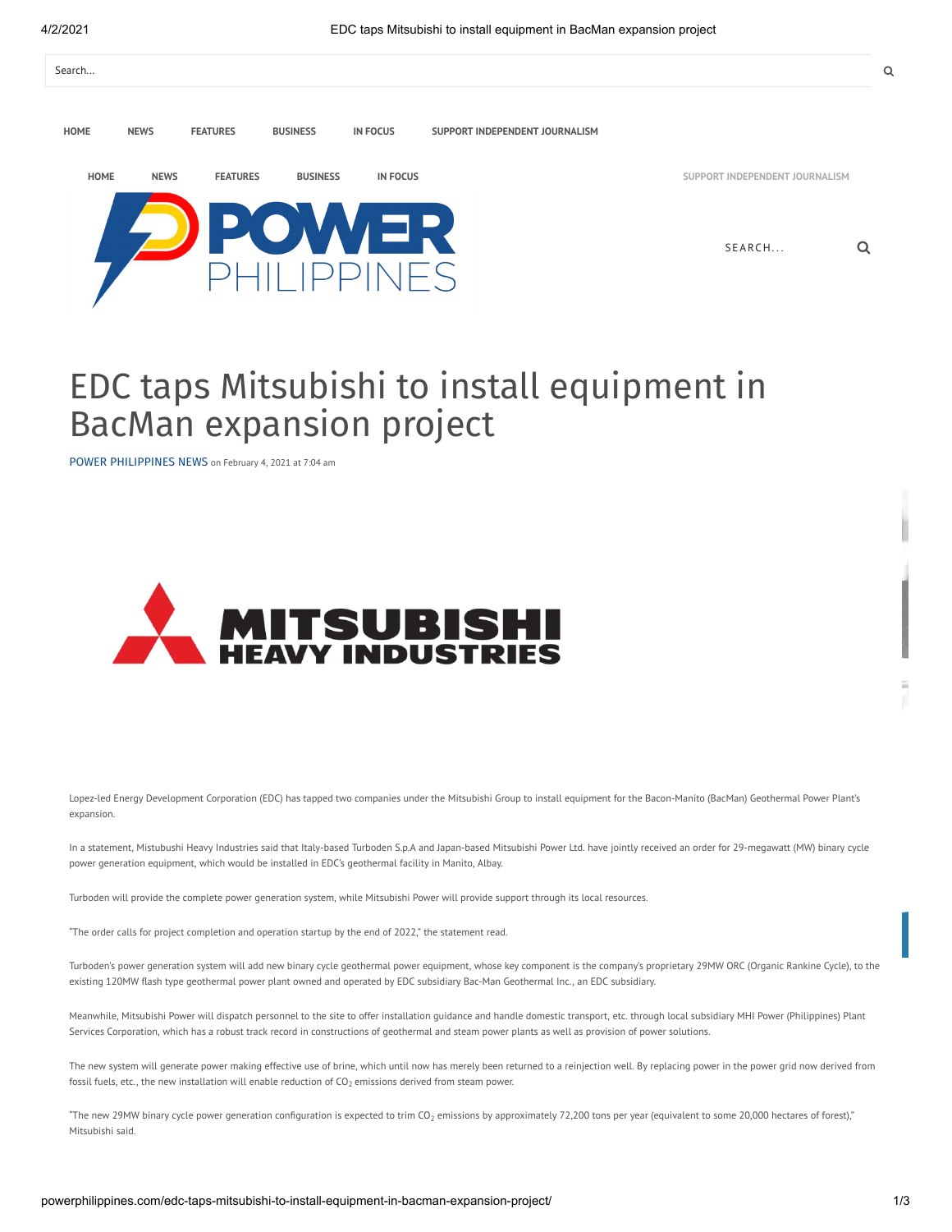

## EDC taps Mitsubishi to install equipment in BacMan expansion project

POWER [PHILIPPINES](http://powerphilippines.com/author/power-philippines-news/) NEWS on February 4, 2021 at 7:04 am



Lopez-led Energy Development Corporation (EDC) has tapped two companies under the Mitsubishi Group to install equipment for the Bacon-Manito (BacMan) Geothermal Power Plant's expansion.

In a statement, Mistubushi Heavy Industries said that Italy-based Turboden S.p.A and Japan-based Mitsubishi Power Ltd. have jointly received an order for 29-megawatt (MW) binary cycle power generation equipment, which would be installed in EDC's geothermal facility in Manito, Albay.

Turboden will provide the complete power generation system, while Mitsubishi Power will provide support through its local resources.

"The order calls for project completion and operation startup by the end of 2022, " the statement read.

Turboden's power generation system will add new binary cycle geothermal power equipment, whose key component is the company's proprietary 29MW ORC (Organic Rankine Cycle), to the existing 120MW flash type geothermal power plant owned and operated by EDC subsidiary Bac-Man Geothermal Inc., an EDC subsidiary.

Meanwhile, Mitsubishi Power will dispatch personnel to the site to offer installation guidance and handle domestic transport, etc. through local subsidiary MHI Power (Philippines) Plant Services Corporation, which has a robust track record in constructions of geothermal and steam power plants as well as provision of power solutions.

The new system will generate power making effective use of brine, which until now has merely been returned to a reinjection well. By replacing power in the power grid now derived from fossil fuels, etc., the new installation will enable reduction of CO<sub>2</sub> emissions derived from steam power.

"The new 29MW binary cycle power generation configuration is expected to trim CO<sub>2</sub> emissions by approximately 72,200 tons per year (equivalent to some 20,000 hectares of forest)," Mitsubishi said.